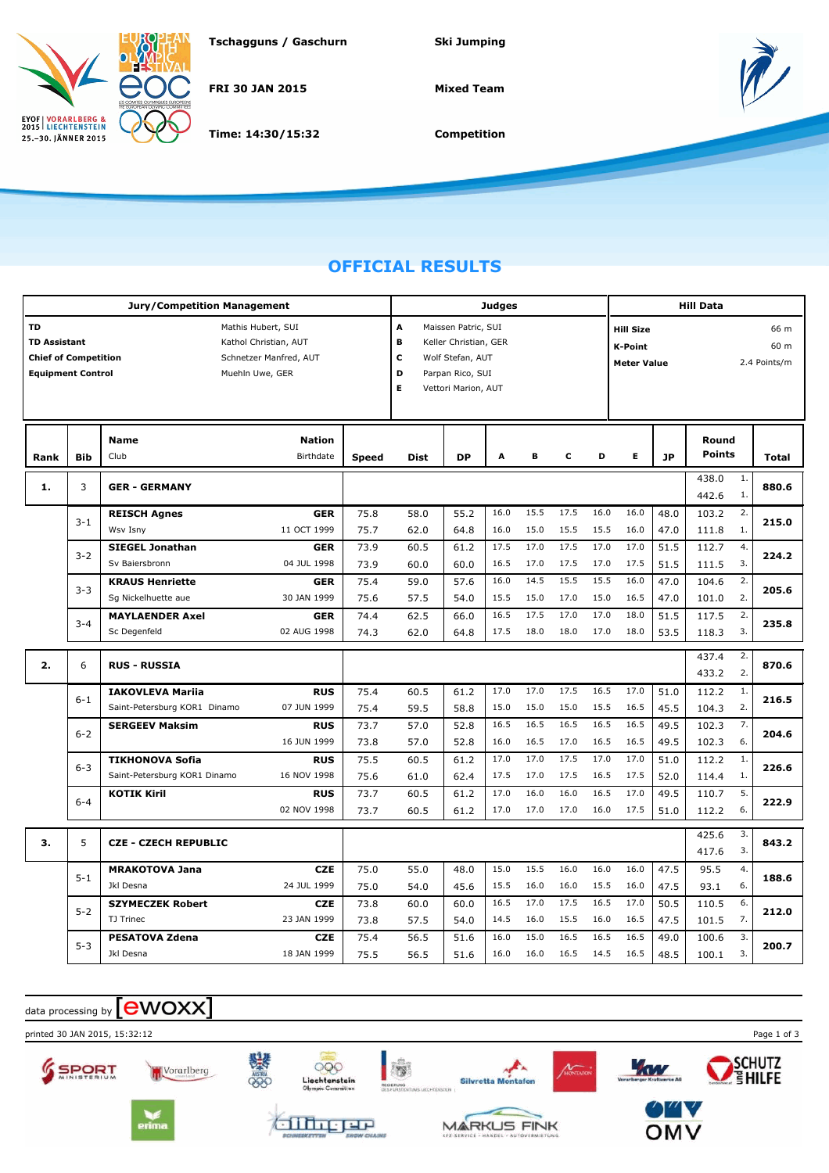

**Tschagguns / Gaschurn Ski Jumping**

**FRI 30 JAN 2015**

**Time: 14:30/15:32**

**Mixed Team**



**Competition**

## **OFFICIAL RESULTS**

|                             |            | <b>Jury/Competition Management</b> |               |                          |                       |                     | <b>Judges</b> |      |      |                          |      |           | <b>Hill Data</b> | Round        |              |  |  |  |  |
|-----------------------------|------------|------------------------------------|---------------|--------------------------|-----------------------|---------------------|---------------|------|------|--------------------------|------|-----------|------------------|--------------|--------------|--|--|--|--|
| TD                          |            | Mathis Hubert, SUI                 |               | A<br>Maissen Patric, SUI |                       |                     |               |      |      | 66 m<br><b>Hill Size</b> |      |           |                  |              |              |  |  |  |  |
| <b>TD Assistant</b>         |            | Kathol Christian, AUT              |               | B                        | Keller Christian, GER |                     |               |      |      | <b>K-Point</b>           |      |           |                  | 60 m         |              |  |  |  |  |
| <b>Chief of Competition</b> |            | Schnetzer Manfred, AUT             |               | C                        | Wolf Stefan, AUT      |                     |               |      |      | <b>Meter Value</b>       |      |           |                  | 2.4 Points/m |              |  |  |  |  |
| <b>Equipment Control</b>    |            | Muehln Uwe, GER                    |               | D                        | Parpan Rico, SUI      |                     |               |      |      |                          |      |           |                  |              |              |  |  |  |  |
|                             |            |                                    |               |                          | Е                     | Vettori Marion, AUT |               |      |      |                          |      |           |                  |              |              |  |  |  |  |
|                             |            |                                    |               |                          |                       |                     |               |      |      |                          |      |           |                  |              |              |  |  |  |  |
|                             |            | Name                               | <b>Nation</b> |                          |                       |                     |               |      |      |                          |      |           |                  |              |              |  |  |  |  |
| Rank                        | <b>Bib</b> | Club                               | Birthdate     | <b>Speed</b>             | Dist                  | <b>DP</b>           | A             | в    | c    | D                        | Е    | <b>JP</b> | <b>Points</b>    |              | <b>Total</b> |  |  |  |  |
|                             |            |                                    |               |                          |                       |                     |               |      |      |                          |      |           | 438.0            | 1.           |              |  |  |  |  |
| 1.                          | 3          | <b>GER - GERMANY</b>               |               |                          |                       |                     |               |      |      |                          |      |           | 442.6            | 1.           | 880.6        |  |  |  |  |
|                             | $3 - 1$    | <b>REISCH Agnes</b>                | <b>GER</b>    | 75.8                     | 58.0                  | 55.2                | 16.0          | 15.5 | 17.5 | 16.0                     | 16.0 | 48.0      | 103.2            | 2.           | 215.0        |  |  |  |  |
|                             |            | Wsv Isny                           | 11 OCT 1999   | 75.7                     | 62.0                  | 64.8                | 16.0          | 15.0 | 15.5 | 15.5                     | 16.0 | 47.0      | 111.8            | 1.           |              |  |  |  |  |
|                             | $3 - 2$    | <b>SIEGEL Jonathan</b>             | <b>GER</b>    | 73.9                     | 60.5                  | 61.2                | 17.5          | 17.0 | 17.5 | 17.0                     | 17.0 | 51.5      | 112.7            | 4.           | 224.2        |  |  |  |  |
|                             |            | Sv Baiersbronn                     | 04 JUL 1998   | 73.9                     | 60.0                  | 60.0                | 16.5          | 17.0 | 17.5 | 17.0                     | 17.5 | 51.5      | 111.5            | 3.           |              |  |  |  |  |
|                             | $3 - 3$    | <b>KRAUS Henriette</b>             | <b>GER</b>    | 75.4                     | 59.0                  | 57.6                | 16.0          | 14.5 | 15.5 | 15.5                     | 16.0 | 47.0      | 104.6            | 2.           | 205.6        |  |  |  |  |
|                             |            | Sg Nickelhuette aue                | 30 JAN 1999   | 75.6                     | 57.5                  | 54.0                | 15.5          | 15.0 | 17.0 | 15.0                     | 16.5 | 47.0      | 101.0            | 2.           |              |  |  |  |  |
|                             | $3 - 4$    | <b>MAYLAENDER Axel</b>             | <b>GER</b>    | 74.4                     | 62.5                  | 66.0                | 16.5          | 17.5 | 17.0 | 17.0                     | 18.0 | 51.5      | 117.5            | 2.           | 235.8        |  |  |  |  |
|                             |            | Sc Degenfeld                       | 02 AUG 1998   | 74.3                     | 62.0                  | 64.8                | 17.5          | 18.0 | 18.0 | 17.0                     | 18.0 | 53.5      | 118.3            | 3.           |              |  |  |  |  |
|                             |            |                                    |               |                          |                       |                     |               |      |      |                          |      | 437.4     | 2.               |              |              |  |  |  |  |
| 2.                          | 6          | <b>RUS - RUSSIA</b>                |               |                          |                       |                     |               |      |      |                          |      | 433.2     | 2.               | 870.6        |              |  |  |  |  |
|                             |            | <b>IAKOVLEVA Mariia</b>            | <b>RUS</b>    | 75.4                     | 60.5                  | 61.2                | 17.0          | 17.0 | 17.5 | 16.5                     | 17.0 | 51.0      | 112.2            | 1.           |              |  |  |  |  |
|                             | $6 - 1$    | Saint-Petersburg KOR1 Dinamo       | 07 JUN 1999   | 75.4                     | 59.5                  | 58.8                | 15.0          | 15.0 | 15.0 | 15.5                     | 16.5 | 45.5      | 104.3            | 2.           | 216.5        |  |  |  |  |
|                             | $6 - 2$    | <b>SERGEEV Maksim</b>              | <b>RUS</b>    | 73.7                     | 57.0                  | 52.8                | 16.5          | 16.5 | 16.5 | 16.5                     | 16.5 | 49.5      | 102.3            | 7.           |              |  |  |  |  |
|                             |            |                                    | 16 JUN 1999   | 73.8                     | 57.0                  | 52.8                | 16.0          | 16.5 | 17.0 | 16.5                     | 16.5 | 49.5      | 102.3            | 6.           | 204.6        |  |  |  |  |
|                             | $6 - 3$    | <b>TIKHONOVA Sofia</b>             | <b>RUS</b>    | 75.5                     | 60.5                  | 61.2                | 17.0          | 17.0 | 17.5 | 17.0                     | 17.0 | 51.0      | 112.2            | 1.           | 226.6        |  |  |  |  |
|                             |            | Saint-Petersburg KOR1 Dinamo       | 16 NOV 1998   | 75.6                     | 61.0                  | 62.4                | 17.5          | 17.0 | 17.5 | 16.5                     | 17.5 | 52.0      | 114.4            | 1.           |              |  |  |  |  |
|                             | $6 - 4$    | <b>KOTIK Kiril</b>                 | <b>RUS</b>    | 73.7                     | 60.5                  | 61.2                | 17.0          | 16.0 | 16.0 | 16.5                     | 17.0 | 49.5      | 110.7            | 5.           | 222.9        |  |  |  |  |
|                             |            |                                    | 02 NOV 1998   | 73.7                     | 60.5                  | 61.2                | 17.0          | 17.0 | 17.0 | 16.0                     | 17.5 | 51.0      | 112.2            | 6.           |              |  |  |  |  |
|                             |            |                                    |               |                          |                       |                     |               |      |      |                          |      |           | 425.6            | 3.           |              |  |  |  |  |
| 3.                          | 5          | <b>CZE - CZECH REPUBLIC</b>        |               |                          |                       |                     |               |      |      |                          |      |           | 417.6            | 3.           | 843.2        |  |  |  |  |
|                             | $5 - 1$    | <b>MRAKOTOVA Jana</b>              | <b>CZE</b>    | 75.0                     | 55.0                  | 48.0                | 15.0          | 15.5 | 16.0 | 16.0                     | 16.0 | 47.5      | 95.5             | 4.           | 188.6        |  |  |  |  |
|                             |            | Jkl Desna                          | 24 JUL 1999   | 75.0                     | 54.0                  | 45.6                | 15.5          | 16.0 | 16.0 | 15.5                     | 16.0 | 47.5      | 93.1             | 6.           |              |  |  |  |  |
|                             | $5 - 2$    | <b>SZYMECZEK Robert</b>            | <b>CZE</b>    | 73.8                     | 60.0                  | 60.0                | 16.5          | 17.0 | 17.5 | 16.5                     | 17.0 | 50.5      | 110.5            | 6.           | 212.0        |  |  |  |  |
|                             |            | TJ Trinec                          | 23 JAN 1999   | 73.8                     | 57.5                  | 54.0                | 14.5          | 16.0 | 15.5 | 16.0                     | 16.5 | 47.5      | 101.5            | 7.           |              |  |  |  |  |
|                             | $5 - 3$    | <b>PESATOVA Zdena</b>              | <b>CZE</b>    | 75.4                     | 56.5                  | 51.6                | 16.0          | 15.0 | 16.5 | 16.5                     | 16.5 | 49.0      | 100.6            | 3.           | 200.7        |  |  |  |  |
|                             |            | Jkl Desna                          | 18 JAN 1999   | 75.5                     | 56.5                  | 51.6                | 16.0          | 16.0 | 16.5 | 14.5                     | 16.5 | 48.5      | 100.1            | 3.           |              |  |  |  |  |

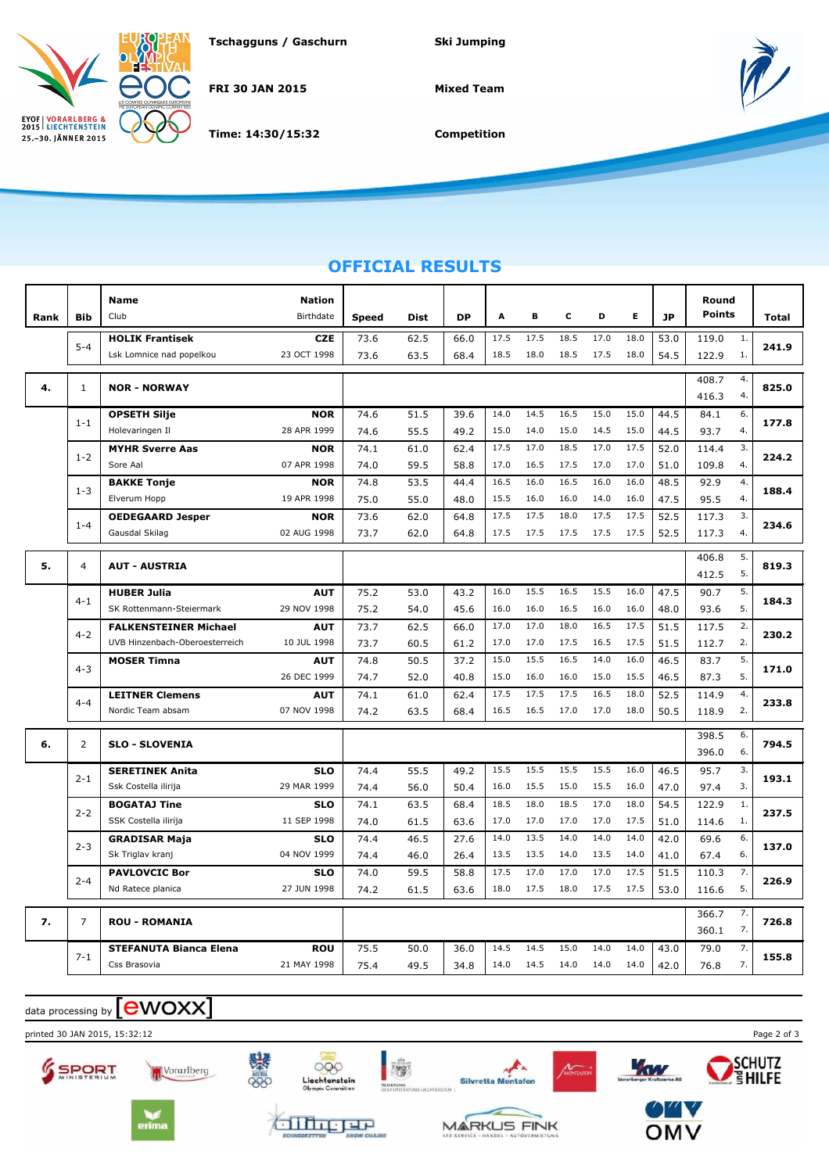

**Tschagguns / Gaschurn Ski Jumping**

**FRI 30 JAN 2015**

**Time: 14:30/15:32**

**Mixed Team**



**Competition**

## **OFFICIAL RESULTS**

| Rank | <b>Bib</b>     | <b>Name</b><br>Club            | <b>Nation</b><br>Birthdate | <b>Speed</b> | Dist | <b>DP</b> | A    | в    | c    | D    | Е    | <b>JP</b> | Round<br><b>Points</b> |         | Total |
|------|----------------|--------------------------------|----------------------------|--------------|------|-----------|------|------|------|------|------|-----------|------------------------|---------|-------|
|      |                | <b>HOLIK Frantisek</b>         | <b>CZE</b>                 | 73.6         | 62.5 | 66.0      | 17.5 | 17.5 | 18.5 | 17.0 | 18.0 | 53.0      | 119.0                  | 1.      |       |
|      | $5 - 4$        | Lsk Lomnice nad popelkou       | 23 OCT 1998                | 73.6         | 63.5 | 68.4      | 18.5 | 18.0 | 18.5 | 17.5 | 18.0 | 54.5      | 122.9                  | 1.      | 241.9 |
| 4.   | $\mathbf{1}$   | <b>NOR - NORWAY</b>            |                            |              |      |           |      |      |      |      |      |           | 408.7                  | 4.      | 825.0 |
|      |                |                                |                            |              |      |           |      |      |      |      |      |           | 416.3                  | 4.      |       |
|      | $1 - 1$        | <b>OPSETH Silje</b>            | <b>NOR</b>                 | 74.6         | 51.5 | 39.6      | 14.0 | 14.5 | 16.5 | 15.0 | 15.0 | 44.5      | 84.1                   | 6.      | 177.8 |
|      |                | Holevaringen Il                | 28 APR 1999                | 74.6         | 55.5 | 49.2      | 15.0 | 14.0 | 15.0 | 14.5 | 15.0 | 44.5      | 93.7                   | 4.      |       |
|      | $1 - 2$        | <b>MYHR Sverre Aas</b>         | <b>NOR</b>                 | 74.1         | 61.0 | 62.4      | 17.5 | 17.0 | 18.5 | 17.0 | 17.5 | 52.0      | 114.4                  | 3.      | 224.2 |
|      |                | Sore Aal                       | 07 APR 1998                | 74.0         | 59.5 | 58.8      | 17.0 | 16.5 | 17.5 | 17.0 | 17.0 | 51.0      | 109.8                  | 4.      |       |
|      | $1 - 3$        | <b>BAKKE Tonje</b>             | <b>NOR</b>                 | 74.8         | 53.5 | 44.4      | 16.5 | 16.0 | 16.5 | 16.0 | 16.0 | 48.5      | 92.9                   | 4.      | 188.4 |
|      |                | Elverum Hopp                   | 19 APR 1998                | 75.0         | 55.0 | 48.0      | 15.5 | 16.0 | 16.0 | 14.0 | 16.0 | 47.5      | 95.5                   | 4.      |       |
|      | $1 - 4$        | <b>OEDEGAARD Jesper</b>        | <b>NOR</b>                 | 73.6         | 62.0 | 64.8      | 17.5 | 17.5 | 18.0 | 17.5 | 17.5 | 52.5      | 117.3                  | 3.      | 234.6 |
|      |                | Gausdal Skilag                 | 02 AUG 1998                | 73.7         | 62.0 | 64.8      | 17.5 | 17.5 | 17.5 | 17.5 | 17.5 | 52.5      | 117.3                  | 4.      |       |
|      |                |                                |                            |              |      |           |      |      |      |      |      |           | 406.8                  | 5.      |       |
| 5.   | $\overline{4}$ | <b>AUT - AUSTRIA</b>           |                            |              |      |           |      |      |      |      |      |           | 412.5                  | 5.      | 819.3 |
|      |                | <b>HUBER Julia</b>             | <b>AUT</b>                 | 75.2         | 53.0 | 43.2      | 16.0 | 15.5 | 16.5 | 15.5 | 16.0 | 47.5      | 90.7                   | 5.      |       |
|      | $4 - 1$        | SK Rottenmann-Steiermark       | 29 NOV 1998                | 75.2         | 54.0 | 45.6      | 16.0 | 16.0 | 16.5 | 16.0 | 16.0 | 48.0      | 93.6                   | 5.      | 184.3 |
|      | $4 - 2$        | <b>FALKENSTEINER Michael</b>   | <b>AUT</b>                 | 73.7         | 62.5 | 66.0      | 17.0 | 17.0 | 18.0 | 16.5 | 17.5 | 51.5      | 117.5                  | 2.      |       |
|      |                | UVB Hinzenbach-Oberoesterreich | 10 JUL 1998                | 73.7         | 60.5 | 61.2      | 17.0 | 17.0 | 17.5 | 16.5 | 17.5 | 51.5      | 112.7                  | 2.      | 230.2 |
|      |                | <b>MOSER Timna</b>             | <b>AUT</b>                 | 74.8         | 50.5 | 37.2      | 15.0 | 15.5 | 16.5 | 14.0 | 16.0 | 46.5      | 83.7                   | 5.      |       |
|      | $4 - 3$        |                                | 26 DEC 1999                | 74.7         | 52.0 | 40.8      | 15.0 | 16.0 | 16.0 | 15.0 | 15.5 | 46.5      | 87.3                   | 5.      | 171.0 |
|      | $4 - 4$        | <b>LEITNER Clemens</b>         | <b>AUT</b>                 | 74.1         | 61.0 | 62.4      | 17.5 | 17.5 | 17.5 | 16.5 | 18.0 | 52.5      | 114.9                  | 4.      |       |
|      |                | Nordic Team absam              | 07 NOV 1998                | 74.2         | 63.5 | 68.4      | 16.5 | 16.5 | 17.0 | 17.0 | 18.0 | 50.5      | 118.9                  | 2.      | 233.8 |
|      |                |                                |                            |              |      |           |      |      |      |      |      |           | 398.5                  | 6.      |       |
| 6.   | 2              | <b>SLO - SLOVENIA</b>          |                            |              |      |           |      |      |      |      |      |           | 396.0                  | 6.      | 794.5 |
|      |                | <b>SERETINEK Anita</b>         | <b>SLO</b>                 | 74.4         | 55.5 | 49.2      | 15.5 | 15.5 | 15.5 | 15.5 | 16.0 | 46.5      | 95.7                   | 3.      |       |
|      | $2 - 1$        | Ssk Costella ilirija           | 29 MAR 1999                | 74.4         | 56.0 | 50.4      | 16.0 | 15.5 | 15.0 | 15.5 | 16.0 | 47.0      | 97.4                   | 3.      | 193.1 |
|      |                | <b>BOGATAJ Tine</b>            | <b>SLO</b>                 | 74.1         | 63.5 | 68.4      | 18.5 | 18.0 | 18.5 | 17.0 | 18.0 | 54.5      | 122.9                  | $1. \,$ |       |
|      | $2 - 2$        | SSK Costella ilirija           | 11 SEP 1998                | 74.0         | 61.5 | 63.6      | 17.0 | 17.0 | 17.0 | 17.0 | 17.5 | 51.0      | 114.6                  | 1.      | 237.5 |
|      |                | <b>GRADISAR Maja</b>           | <b>SLO</b>                 | 74.4         | 46.5 | 27.6      | 14.0 | 13.5 | 14.0 | 14.0 | 14.0 | 42.0      | 69.6                   | 6.      |       |
|      | $2 - 3$        | Sk Triglav kranj               | 04 NOV 1999                | 74.4         | 46.0 | 26.4      | 13.5 | 13.5 | 14.0 | 13.5 | 14.0 | 41.0      | 67.4                   | 6.      | 137.0 |
|      |                | <b>PAVLOVCIC Bor</b>           | <b>SLO</b>                 | 74.0         | 59.5 | 58.8      | 17.5 | 17.0 | 17.0 | 17.0 | 17.5 | 51.5      | 110.3                  | 7.      |       |
|      | $2 - 4$        | Nd Ratece planica              | 27 JUN 1998                | 74.2         | 61.5 | 63.6      | 18.0 | 17.5 | 18.0 | 17.5 | 17.5 | 53.0      | 116.6                  | 5.      | 226.9 |
|      |                |                                |                            |              |      |           |      |      |      |      |      |           | 366.7                  | 7.      |       |
| 7.   | 7              | <b>ROU - ROMANIA</b>           |                            |              |      |           |      |      |      |      |      |           | 360.1                  | 726.8   |       |
|      |                | <b>STEFANUTA Bianca Elena</b>  | <b>ROU</b>                 | 75.5         | 50.0 | 36.0      | 14.5 | 14.5 | 15.0 | 14.0 | 14.0 | 43.0      | 79.0                   | 7.      |       |
|      | $7 - 1$        | Css Brasovia                   | 21 MAY 1998                | 75.4         | 49.5 | 34.8      | 14.0 | 14.5 | 14.0 | 14.0 | 14.0 | 42.0      | 76.8                   | 7.      | 155.8 |







alberr







Kw

ANONTAL